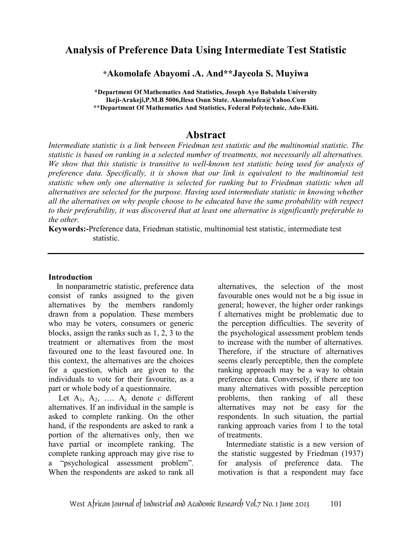# **Analysis of Preference Data Using Intermediate Test Statistic**

### **\*Akomolafe Abayomi .A. And\*\*Jayeola S. Muyiwa**

**\*Department Of Mathematics And Statistics, Joseph Ayo Babalola University Ikeji-Arakeji,P.M.B 5006,Ilesa Osun State. Akomolafea@Yahoo.Com \*\*Department Of Mathematics And Statistics, Federal Polytechnic, Ado-Ekiti.** 

## **Abstract**

*Intermediate statistic is a link between Friedman test statistic and the multinomial statistic. The statistic is based on ranking in a selected number of treatments, not necessarily all alternatives. We show that this statistic is transitive to well-known test statistic being used for analysis of preference data. Specifically, it is shown that our link is equivalent to the multinomial test statistic when only one alternative is selected for ranking but to Friedman statistic when all alternatives are selected for the purpose. Having used intermediate statistic in knowing whether all the alternatives on why people choose to be educated have the same probability with respect to their preferability, it was discovered that at least one alternative is significantly preferable to the other.* 

**Keywords:-**Preference data, Friedman statistic, multinomial test statistic, intermediate test statistic.

#### **Introduction**

 In nonparametric statistic, preference data consist of ranks assigned to the given alternatives by the members randomly drawn from a population. These members who may be voters, consumers or generic blocks, assign the ranks such as 1, 2, 3 to the treatment or alternatives from the most favoured one to the least favoured one. In this context, the alternatives are the choices for a question, which are given to the individuals to vote for their favourite, as a part or whole body of a questionnaire.

Let  $A_1$ ,  $A_2$ , ....  $A_c$  denote *c* different alternatives. If an individual in the sample is asked to complete ranking. On the other hand, if the respondents are asked to rank a portion of the alternatives only, then we have partial or incomplete ranking. The complete ranking approach may give rise to a "psychological assessment problem". When the respondents are asked to rank all

alternatives, the selection of the most favourable ones would not be a big issue in general; however, the higher order rankings f alternatives might be problematic due to the perception difficulties. The severity of the psychological assessment problem tends to increase with the number of alternatives. Therefore, if the structure of alternatives seems clearly perceptible, then the complete ranking approach may be a way to obtain preference data. Conversely, if there are too many alternatives with possible perception problems, then ranking of all these alternatives may not be easy for the respondents. In such situation, the partial ranking approach varies from 1 to the total of treatments.

 Intermediate statistic is a new version of the statistic suggested by Friedman (1937) for analysis of preference data. The motivation is that a respondent may face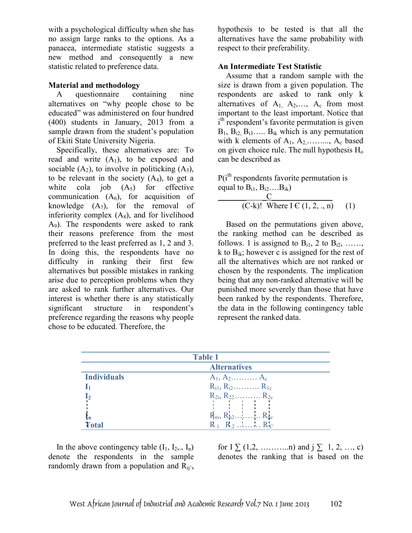with a psychological difficulty when she has no assign large ranks to the options. As a panacea, intermediate statistic suggests a new method and consequently a new statistic related to preference data.

### **Material and methodology**

 A questionnaire containing nine alternatives on "why people chose to be educated" was administered on four hundred (400) students in January, 2013 from a sample drawn from the student's population of Ekiti State University Nigeria.

 Specifically, these alternatives are: To read and write  $(A_1)$ , to be exposed and sociable  $(A_2)$ , to involve in politicking  $(A_3)$ , to be relevant in the society  $(A_4)$ , to get a white cola job  $(A_5)$  for effective communication  $(A<sub>6</sub>)$ , for acquisition of knowledge  $(A_7)$ , for the removal of inferiority complex  $(A_8)$ , and for livelihood A9). The respondents were asked to rank their reasons preference from the most preferred to the least preferred as 1, 2 and 3. In doing this, the respondents have no difficulty in ranking their first few alternatives but possible mistakes in ranking arise due to perception problems when they are asked to rank further alternatives. Our interest is whether there is any statistically significant structure in respondent's preference regarding the reasons why people chose to be educated. Therefore, the

hypothesis to be tested is that all the alternatives have the same probability with respect to their preferability.

### **An Intermediate Test Statistic**

 Assume that a random sample with the size is drawn from a given population. The respondents are asked to rank only k alternatives of  $A_1$ ,  $A_2$ ,...,  $A_c$  from most important to the least important. Notice that i<sup>th</sup> respondent's favorite permutation is given  $B_1, B_{i2}, B_{i3}, \ldots, B_{ik}$  which is any permutation with  $k$  elements of  $A_1, A_2, \ldots, A_c$  based on given choice rule. The null hypothesis  $H_0$ can be described as

 $P(i<sup>th</sup>$  respondents favorite permutation is equal to  $B_{i1}$ ,  $B_{i2}$ .... $B_{ik}$ )

$$
C\n \begin{array}{c}\n C \\
\hline\n (C-k)! \quad \text{Where } I \in (1, 2, ., n) \\
\end{array}\n \tag{1}
$$

 Based on the permutations given above, the ranking method can be described as follows. 1 is assigned to  $B_{i1}$ , 2 to  $B_{i2}$ , ...... k to  $B_{ik}$ ; however c is assigned for the rest of all the alternatives which are not ranked or chosen by the respondents. The implication being that any non-ranked alternative will be punished more severely than those that have been ranked by the respondents. Therefore, the data in the following contingency table represent the ranked data.

| <b>Table 1</b>     |                                  |  |  |  |  |  |
|--------------------|----------------------------------|--|--|--|--|--|
|                    | <b>Alternatives</b>              |  |  |  |  |  |
| <b>Individuals</b> | $A_1, A_2, \ldots, A_c$          |  |  |  |  |  |
|                    | $R_{i1}, R_{i2}, \ldots, R_{1c}$ |  |  |  |  |  |
|                    | $R_{2i}, R_{22}, \ldots, R_{2c}$ |  |  |  |  |  |
|                    |                                  |  |  |  |  |  |
|                    | $R_{ni}$ , $R_{n2}$ $R_{nc}$     |  |  |  |  |  |
| Total              | $R_1$ $R_2$ $R_C$                |  |  |  |  |  |

In the above contingency table  $(I_1, I_2, I_n)$ denote the respondents in the sample randomly drawn from a population and  $R_{ii's}$ 

for  $I \sum (1,2, \ldots, n)$  and  $j \sum 1, 2, \ldots, c$ ) denotes the ranking that is based on the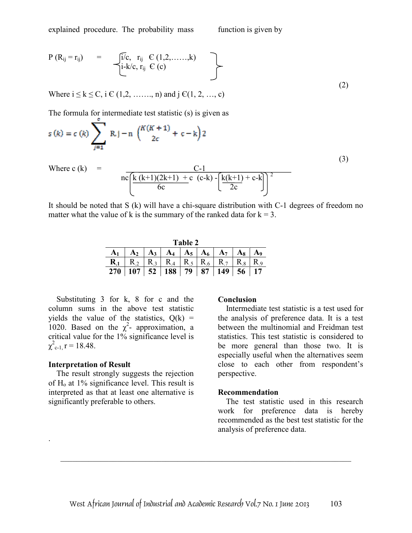explained procedure. The probability mass function is given by

$$
P (R_{ij} = r_{ij}) = \int_{i=k/c, r_{ij}}^{j/c, r_{ij}} \frac{C (1, 2, ......, k)}{C (c)}
$$
 (2)

Where  $i \le k \le C$ ,  $i \in (1, 2, \ldots, n)$  and  $j \in (1, 2, \ldots, c)$ 

The formula for intermediate test statistic (s) is given as

$$
s(k) = c(k) \sum_{j=1}^{k} R(j-n) \binom{k(k+1)}{2c} + c-k
$$
  
Where c(k) =  

$$
nc \frac{k(k+1)(2k+1) + c (c-k) - (k(k+1) + c-k)}{6c} \binom{k(k+1) + c-k}{2c}
$$
(3)

It should be noted that S (k) will have a chi-square distribution with C-1 degrees of freedom no matter what the value of k is the summary of the ranked data for  $k = 3$ .

| Table 2 |                                                                                                                                                                                   |  |  |  |  |  |  |  |  |  |
|---------|-----------------------------------------------------------------------------------------------------------------------------------------------------------------------------------|--|--|--|--|--|--|--|--|--|
|         | $A_1 \mid A_2 \mid A_3 \mid A_4 \mid A_5 \mid A_6 \mid A_7 \mid A_8 \mid A_9$                                                                                                     |  |  |  |  |  |  |  |  |  |
|         | $\mathbf{R}_{.1}$   $\mathbf{R}_{.2}$   $\mathbf{R}_{.3}$   $\mathbf{R}_{.4}$   $\mathbf{R}_{.5}$   $\mathbf{R}_{.6}$   $\mathbf{R}_{.7}$   $\mathbf{R}_{.8}$   $\mathbf{R}_{.9}$ |  |  |  |  |  |  |  |  |  |
|         | $270$   107   52   188   79   87   149   56   17                                                                                                                                  |  |  |  |  |  |  |  |  |  |

 Substituting 3 for k, 8 for c and the column sums in the above test statistic yields the value of the statistics,  $Q(k)$  = 1020. Based on the  $\chi^2$ - approximation, a critical value for the 1% significance level is  $\chi^2_{\text{c-1},\text{r}} = 18.48.$ 

#### **Interpretation of Result**

.

 The result strongly suggests the rejection of  $H<sub>o</sub>$  at 1% significance level. This result is interpreted as that at least one alternative is significantly preferable to others.

#### **Conclusion**

 Intermediate test statistic is a test used for the analysis of preference data. It is a test between the multinomial and Freidman test statistics. This test statistic is considered to be more general than those two. It is especially useful when the alternatives seem close to each other from respondent's perspective.

#### **Recommendation**

 The test statistic used in this research work for preference data is hereby recommended as the best test statistic for the analysis of preference data.

 $\_$  , and the contribution of the contribution of  $\mathcal{L}_\mathcal{A}$  , and the contribution of  $\mathcal{L}_\mathcal{A}$